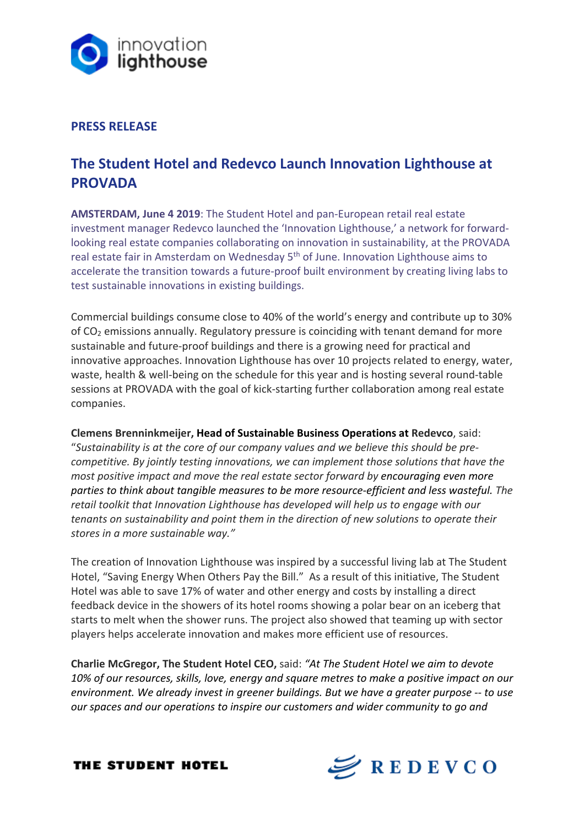

# **PRESS RELEASE**

# **The Student Hotel and Redevco Launch Innovation Lighthouse at PROVADA**

**AMSTERDAM, June 4 2019**: The Student Hotel and pan-European retail real estate investment manager Redevco launched the 'Innovation Lighthouse,' a network for forwardlooking real estate companies collaborating on innovation in sustainability, at the PROVADA real estate fair in Amsterdam on Wednesday 5<sup>th</sup> of June. Innovation Lighthouse aims to accelerate the transition towards a future-proof built environment by creating living labs to test sustainable innovations in existing buildings.

Commercial buildings consume close to 40% of the world's energy and contribute up to 30% of CO2 emissions annually. Regulatory pressure is coinciding with tenant demand for more sustainable and future-proof buildings and there is a growing need for practical and innovative approaches. Innovation Lighthouse has over 10 projects related to energy, water, waste, health & well-being on the schedule for this year and is hosting several round-table sessions at PROVADA with the goal of kick-starting further collaboration among real estate companies.

**Clemens Brenninkmeijer, Head of Sustainable Business Operations at Redevco**, said: "*Sustainability is at the core of our company values and we believe this should be precompetitive. By jointly testing innovations, we can implement those solutions that have the most positive impact and move the real estate sector forward by encouraging even more parties to think about tangible measures to be more resource-efficient and less wasteful. The retail toolkit that Innovation Lighthouse has developed will help us to engage with our tenants on sustainability and point them in the direction of new solutions to operate their stores in a more sustainable way."*

The creation of Innovation Lighthouse was inspired by a successful living lab at The Student Hotel, "Saving Energy When Others Pay the Bill." As a result of this initiative, The Student Hotel was able to save 17% of water and other energy and costs by installing a direct feedback device in the showers of its hotel rooms showing a polar bear on an iceberg that starts to melt when the shower runs. The project also showed that teaming up with sector players helps accelerate innovation and makes more efficient use of resources.

**Charlie McGregor, The Student Hotel CEO,** said: *"At The Student Hotel we aim to devote 10% of our resources, skills, love, energy and square metres to make a positive impact on our environment. We already invest in greener buildings. But we have a greater purpose -- to use our spaces and our operations to inspire our customers and wider community to go and* 

THE STUDENT HOTEL

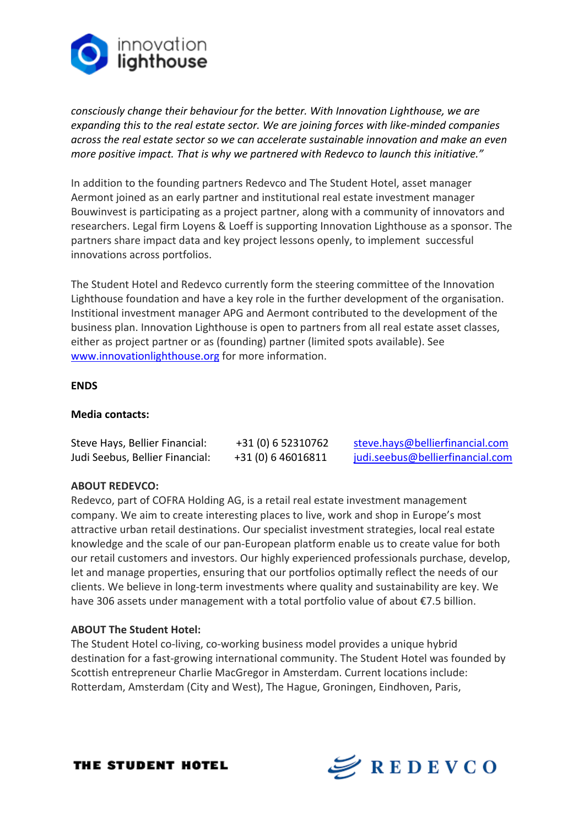

*consciously change their behaviour for the better. With Innovation Lighthouse, we are expanding this to the real estate sector. We are joining forces with like-minded companies across the real estate sector so we can accelerate sustainable innovation and make an even more positive impact. That is why we partnered with Redevco to launch this initiative."* 

In addition to the founding partners Redevco and The Student Hotel, asset manager Aermont joined as an early partner and institutional real estate investment manager Bouwinvest is participating as a project partner, along with a community of innovators and researchers. Legal firm Loyens & Loeff is supporting Innovation Lighthouse as a sponsor. The partners share impact data and key project lessons openly, to implement successful innovations across portfolios.

The Student Hotel and Redevco currently form the steering committee of the Innovation Lighthouse foundation and have a key role in the further development of the organisation. Institional investment manager APG and Aermont contributed to the development of the business plan. Innovation Lighthouse is open to partners from all real estate asset classes, either as project partner or as (founding) partner (limited spots available). See www.innovationlighthouse.org for more information.

## **ENDS**

# **Media contacts:**

| Steve Hays, Bellier Financial:  | +31 (0) 6 52310762 | steve.hays@bellierfinancial.com  |
|---------------------------------|--------------------|----------------------------------|
| Judi Seebus, Bellier Financial: | +31 (0) 6 46016811 | judi.seebus@bellierfinancial.com |

## **ABOUT REDEVCO:**

Redevco, part of COFRA Holding AG, is a retail real estate investment management company. We aim to create interesting places to live, work and shop in Europe's most attractive urban retail destinations. Our specialist investment strategies, local real estate knowledge and the scale of our pan-European platform enable us to create value for both our retail customers and investors. Our highly experienced professionals purchase, develop, let and manage properties, ensuring that our portfolios optimally reflect the needs of our clients. We believe in long-term investments where quality and sustainability are key. We have 306 assets under management with a total portfolio value of about €7.5 billion.

## **ABOUT The Student Hotel:**

The Student Hotel co-living, co-working business model provides a unique hybrid destination for a fast-growing international community. The Student Hotel was founded by Scottish entrepreneur Charlie MacGregor in Amsterdam. Current locations include: Rotterdam, Amsterdam (City and West), The Hague, Groningen, Eindhoven, Paris,

THE STUDENT HOTEL